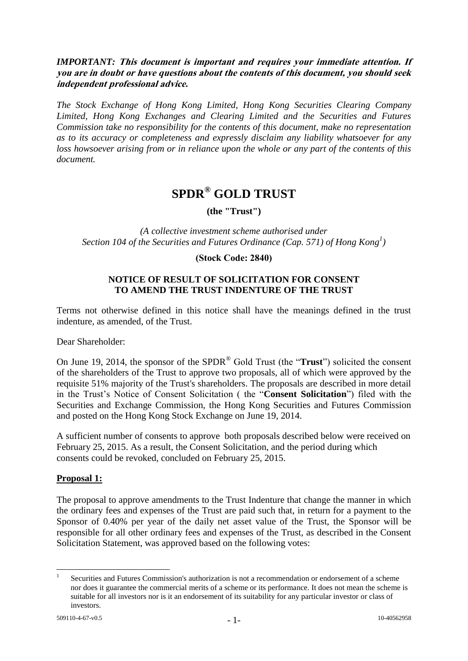## *IMPORTANT:* **This document is important and requires your immediate attention. If you are in doubt or have questions about the contents of this document, you should seek independent professional advice.**

*The Stock Exchange of Hong Kong Limited, Hong Kong Securities Clearing Company Limited, Hong Kong Exchanges and Clearing Limited and the Securities and Futures Commission take no responsibility for the contents of this document, make no representation as to its accuracy or completeness and expressly disclaim any liability whatsoever for any loss howsoever arising from or in reliance upon the whole or any part of the contents of this document.*

# **SPDR® GOLD TRUST**

**(the "Trust")**

*(A collective investment scheme authorised under Section 104 of the Securities and Futures Ordinance (Cap. 571) of Hong Kong<sup>1</sup> )*

### **(Stock Code: 2840)**

## **NOTICE OF RESULT OF SOLICITATION FOR CONSENT TO AMEND THE TRUST INDENTURE OF THE TRUST**

Terms not otherwise defined in this notice shall have the meanings defined in the trust indenture, as amended, of the Trust.

Dear Shareholder:

On June 19, 2014, the sponsor of the SPDR® Gold Trust (the "**Trust**") solicited the consent of the shareholders of the Trust to approve two proposals, all of which were approved by the requisite 51% majority of the Trust's shareholders. The proposals are described in more detail in the Trust's Notice of Consent Solicitation ( the "**Consent Solicitation**") filed with the Securities and Exchange Commission, the Hong Kong Securities and Futures Commission and posted on the Hong Kong Stock Exchange on June 19, 2014.

A sufficient number of consents to approve both proposals described below were received on February 25, 2015. As a result, the Consent Solicitation, and the period during which consents could be revoked, concluded on February 25, 2015.

# **Proposal 1:**

The proposal to approve amendments to the Trust Indenture that change the manner in which the ordinary fees and expenses of the Trust are paid such that, in return for a payment to the Sponsor of 0.40% per year of the daily net asset value of the Trust, the Sponsor will be responsible for all other ordinary fees and expenses of the Trust, as described in the Consent Solicitation Statement, was approved based on the following votes:

 $\frac{1}{1}$ Securities and Futures Commission's authorization is not a recommendation or endorsement of a scheme nor does it guarantee the commercial merits of a scheme or its performance. It does not mean the scheme is suitable for all investors nor is it an endorsement of its suitability for any particular investor or class of investors.